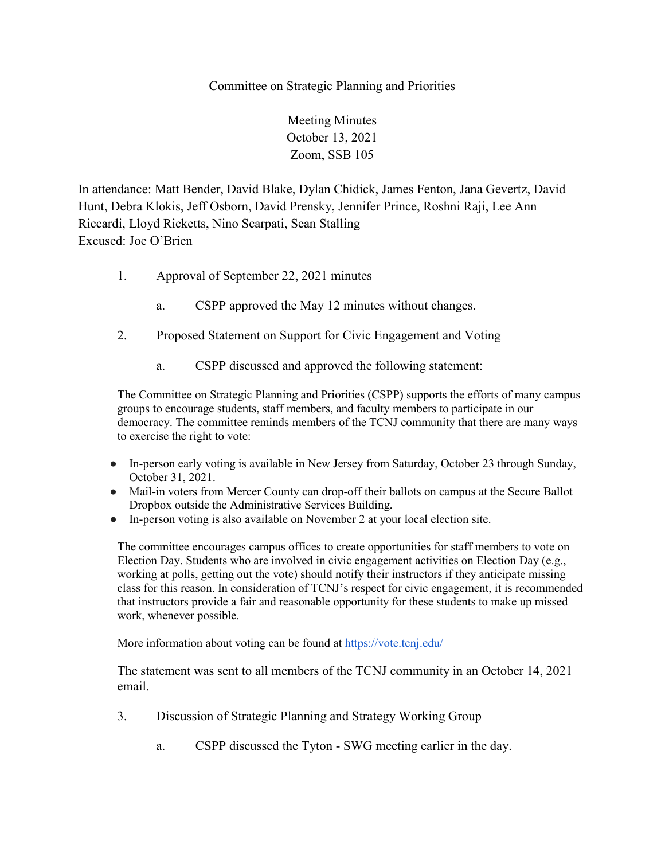## Committee on Strategic Planning and Priorities

Meeting Minutes October 13, 2021 Zoom, SSB 105

In attendance: Matt Bender, David Blake, Dylan Chidick, James Fenton, Jana Gevertz, David Hunt, Debra Klokis, Jeff Osborn, David Prensky, Jennifer Prince, Roshni Raji, Lee Ann Riccardi, Lloyd Ricketts, Nino Scarpati, Sean Stalling Excused: Joe O'Brien

- 1. Approval of September 22, 2021 minutes
	- a. CSPP approved the May 12 minutes without changes.
- 2. Proposed Statement on Support for Civic Engagement and Voting
	- a. CSPP discussed and approved the following statement:

The Committee on Strategic Planning and Priorities (CSPP) supports the efforts of many campus groups to encourage students, staff members, and faculty members to participate in our democracy. The committee reminds members of the TCNJ community that there are many ways to exercise the right to vote:

- In-person early voting is available in New Jersey from Saturday, October 23 through Sunday, October 31, 2021.
- Mail-in voters from Mercer County can drop-off their ballots on campus at the Secure Ballot Dropbox outside the Administrative Services Building.
- In-person voting is also available on November 2 at your local election site.

The committee encourages campus offices to create opportunities for staff members to vote on Election Day. Students who are involved in civic engagement activities on Election Day (e.g., working at polls, getting out the vote) should notify their instructors if they anticipate missing class for this reason. In consideration of TCNJ's respect for civic engagement, it is recommended that instructors provide a fair and reasonable opportunity for these students to make up missed work, whenever possible.

More information about voting can be found at<https://vote.tcnj.edu/>

The statement was sent to all members of the TCNJ community in an October 14, 2021 email.

- 3. Discussion of Strategic Planning and Strategy Working Group
	- a. CSPP discussed the Tyton SWG meeting earlier in the day.